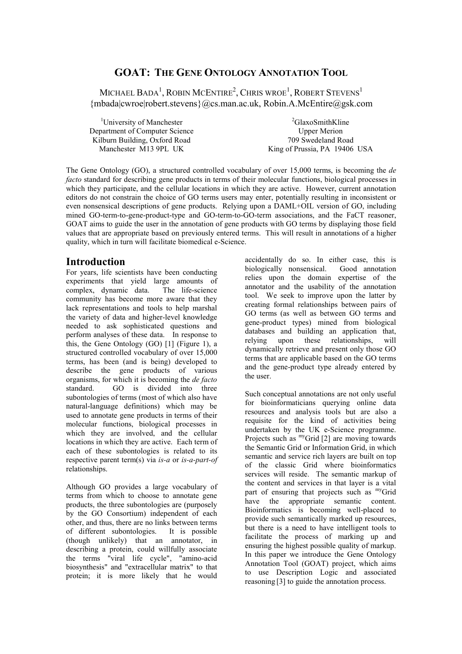# **GOAT: THE GENE ONTOLOGY ANNOTATION TOOL**

MICHAEL BADA<sup>1</sup>, ROBIN MCENTIRE<sup>2</sup>, CHRIS WROE<sup>1</sup>, ROBERT STEVENS<sup>1</sup> {mbada|cwroe|robert.stevens}@cs.man.ac.uk, Robin.A.McEntire@gsk.com

<sup>1</sup>University of Manchester Department of Computer Science Kilburn Building, Oxford Road Manchester M13 9PL UK

<sup>2</sup>GlaxoSmithKline Upper Merion 709 Swedeland Road King of Prussia, PA 19406 USA

The Gene Ontology (GO), a structured controlled vocabulary of over 15,000 terms, is becoming the *de facto* standard for describing gene products in terms of their molecular functions, biological processes in which they participate, and the cellular locations in which they are active. However, current annotation editors do not constrain the choice of GO terms users may enter, potentially resulting in inconsistent or even nonsensical descriptions of gene products. Relying upon a DAML+OIL version of GO, including mined GO-term-to-gene-product-type and GO-term-to-GO-term associations, and the FaCT reasoner, GOAT aims to guide the user in the annotation of gene products with GO terms by displaying those field values that are appropriate based on previously entered terms. This will result in annotations of a higher quality, which in turn will facilitate biomedical e-Science.

### **Introduction**

For years, life scientists have been conducting experiments that yield large amounts of complex, dynamic data. The life-science community has become more aware that they lack representations and tools to help marshal the variety of data and higher-level knowledge needed to ask sophisticated questions and perform analyses of these data. In response to this, the Gene Ontology (GO) [1] (Figure 1), a structured controlled vocabulary of over 15,000 terms, has been (and is being) developed to describe the gene products of various organisms, for which it is becoming the *de facto*  standard. GO is divided into three subontologies of terms (most of which also have natural-language definitions) which may be used to annotate gene products in terms of their molecular functions, biological processes in which they are involved, and the cellular locations in which they are active. Each term of each of these subontologies is related to its respective parent term(s) via *is-a* or *is-a-part-of* relationships.

Although GO provides a large vocabulary of terms from which to choose to annotate gene products, the three subontologies are (purposely by the GO Consortium) independent of each other, and thus, there are no links between terms of different subontologies. It is possible (though unlikely) that an annotator, in describing a protein, could willfully associate the terms "viral life cycle", "amino-acid biosynthesis" and "extracellular matrix" to that protein; it is more likely that he would

accidentally do so. In either case, this is biologically nonsensical. Good annotation relies upon the domain expertise of the annotator and the usability of the annotation tool. We seek to improve upon the latter by creating formal relationships between pairs of GO terms (as well as between GO terms and gene-product types) mined from biological databases and building an application that, relying upon these relationships, will dynamically retrieve and present only those GO terms that are applicable based on the GO terms and the gene-product type already entered by the user.

Such conceptual annotations are not only useful for bioinformaticians querying online data resources and analysis tools but are also a requisite for the kind of activities being undertaken by the UK e-Science programme. Projects such as <sup>my</sup>Grid [2] are moving towards the Semantic Grid or Information Grid, in which semantic and service rich layers are built on top of the classic Grid where bioinformatics services will reside. The semantic markup of the content and services in that layer is a vital part of ensuring that projects such as myGrid have the appropriate semantic content. Bioinformatics is becoming well-placed to provide such semantically marked up resources, but there is a need to have intelligent tools to facilitate the process of marking up and ensuring the highest possible quality of markup. In this paper we introduce the Gene Ontology Annotation Tool (GOAT) project, which aims to use Description Logic and associated reasoning [3] to guide the annotation process.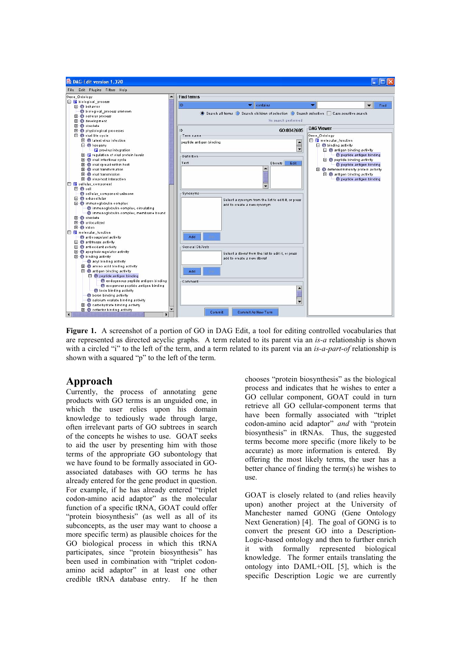

**Figure 1.** A screenshot of a portion of GO in DAG Edit, a tool for editing controlled vocabularies that are represented as directed acyclic graphs. A term related to its parent via an *is-a* relationship is shown with a circled "i" to the left of the term, and a term related to its parent via an *is-a-part-of* relationship is shown with a squared "p" to the left of the term.

## **Approach**

Currently, the process of annotating gene products with GO terms is an unguided one, in which the user relies upon his domain knowledge to tediously wade through large, often irrelevant parts of GO subtrees in search of the concepts he wishes to use. GOAT seeks to aid the user by presenting him with those terms of the appropriate GO subontology that we have found to be formally associated in GOassociated databases with GO terms he has already entered for the gene product in question. For example, if he has already entered "triplet codon-amino acid adaptor" as the molecular function of a specific tRNA, GOAT could offer "protein biosynthesis" (as well as all of its subconcepts, as the user may want to choose a more specific term) as plausible choices for the GO biological process in which this tRNA participates, since "protein biosynthesis" has been used in combination with "triplet codonamino acid adaptor" in at least one other credible tRNA database entry. If he then chooses "protein biosynthesis" as the biological process and indicates that he wishes to enter a GO cellular component, GOAT could in turn retrieve all GO cellular-component terms that have been formally associated with "triplet codon-amino acid adaptor" *and* with "protein biosynthesis" in tRNAs. Thus, the suggested terms become more specific (more likely to be accurate) as more information is entered. By offering the most likely terms, the user has a better chance of finding the term(s) he wishes to use.

GOAT is closely related to (and relies heavily upon) another project at the University of Manchester named GONG (Gene Ontology Next Generation) [4]. The goal of GONG is to convert the present GO into a Description-Logic-based ontology and then to further enrich it with formally represented biological knowledge. The former entails translating the ontology into DAML+OIL [5], which is the specific Description Logic we are currently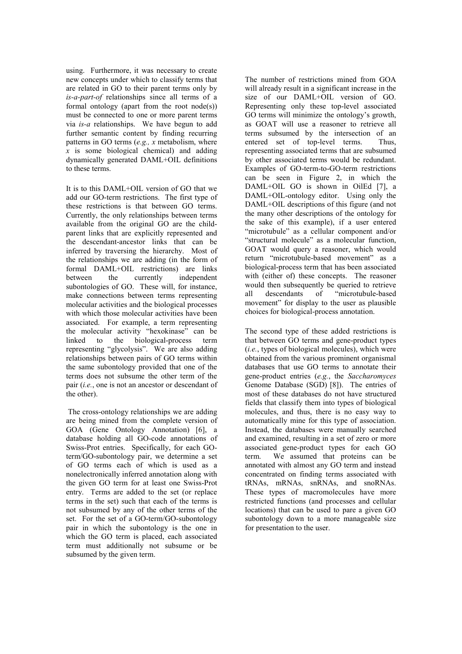using. Furthermore, it was necessary to create new concepts under which to classify terms that are related in GO to their parent terms only by *is-a-part-of* relationships since all terms of a formal ontology (apart from the root  $node(s)$ ) must be connected to one or more parent terms via *is-a* relationships. We have begun to add further semantic content by finding recurring patterns in GO terms (*e.g., x* metabolism, where *x* is some biological chemical) and adding dynamically generated DAML+OIL definitions to these terms.

It is to this DAML+OIL version of GO that we add our GO-term restrictions. The first type of these restrictions is that between GO terms. Currently, the only relationships between terms available from the original GO are the childparent links that are explicitly represented and the descendant-ancestor links that can be inferred by traversing the hierarchy. Most of the relationships we are adding (in the form of formal DAML+OIL restrictions) are links<br>between the currently independent between the currently independent subontologies of GO. These will, for instance, make connections between terms representing molecular activities and the biological processes with which those molecular activities have been associated. For example, a term representing the molecular activity "hexokinase" can be linked to the biological-process term representing "glycolysis". We are also adding relationships between pairs of GO terms within the same subontology provided that one of the terms does not subsume the other term of the pair (*i.e.*, one is not an ancestor or descendant of the other).

 The cross-ontology relationships we are adding are being mined from the complete version of GOA (Gene Ontology Annotation) [6], a database holding all GO-code annotations of Swiss-Prot entries. Specifically, for each GOterm/GO-subontology pair, we determine a set of GO terms each of which is used as a nonelectronically inferred annotation along with the given GO term for at least one Swiss-Prot entry. Terms are added to the set (or replace terms in the set) such that each of the terms is not subsumed by any of the other terms of the set. For the set of a GO-term/GO-subontology pair in which the subontology is the one in which the GO term is placed, each associated term must additionally not subsume or be subsumed by the given term.

The number of restrictions mined from GOA will already result in a significant increase in the size of our DAML+OIL version of GO. Representing only these top-level associated GO terms will minimize the ontology's growth, as GOAT will use a reasoner to retrieve all terms subsumed by the intersection of an entered set of top-level terms. Thus, representing associated terms that are subsumed by other associated terms would be redundant. Examples of GO-term-to-GO-term restrictions can be seen in Figure 2, in which the DAML+OIL GO is shown in OilEd [7], a DAML+OIL-ontology editor. Using only the DAML+OIL descriptions of this figure (and not the many other descriptions of the ontology for the sake of this example), if a user entered "microtubule" as a cellular component and/or "structural molecule" as a molecular function, GOAT would query a reasoner, which would return "microtubule-based movement" as a biological-process term that has been associated with (either of) these concepts. The reasoner would then subsequently be queried to retrieve all descendants of "microtubule-based movement" for display to the user as plausible choices for biological-process annotation.

The second type of these added restrictions is that between GO terms and gene-product types (*i.e.*, types of biological molecules), which were obtained from the various prominent organismal databases that use GO terms to annotate their gene-product entries (*e.g.*, the *Saccharomyces* Genome Database (SGD) [8]). The entries of most of these databases do not have structured fields that classify them into types of biological molecules, and thus, there is no easy way to automatically mine for this type of association. Instead, the databases were manually searched and examined, resulting in a set of zero or more associated gene-product types for each GO term. We assumed that proteins can be annotated with almost any GO term and instead concentrated on finding terms associated with tRNAs, mRNAs, snRNAs, and snoRNAs. These types of macromolecules have more restricted functions (and processes and cellular locations) that can be used to pare a given GO subontology down to a more manageable size for presentation to the user.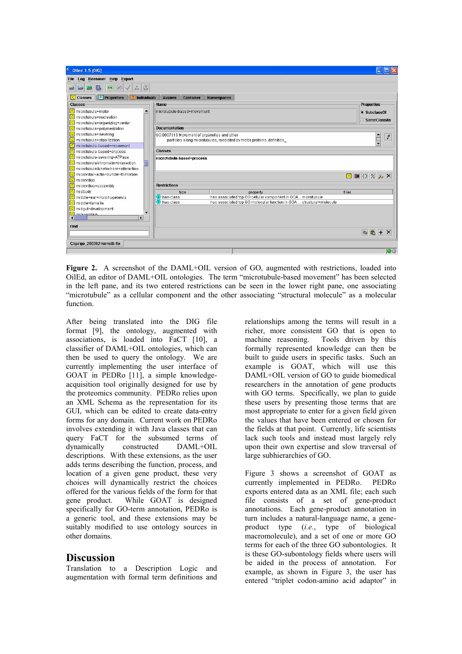

**Figure 2.** A screenshot of the DAML+OIL version of GO, augmented with restrictions, loaded into OilEd, an editor of DAML+OIL ontologies. The term "microtubule-based movement" has been selected in the left pane, and its two entered restrictions can be seen in the lower right pane, one associating "microtubule" as a cellular component and the other associating "structural molecule" as a molecular function.

After being translated into the DIG file format [9], the ontology, augmented with associations, is loaded into FaCT [10], a classifier of DAML+OIL ontologies, which can then be used to query the ontology. We are currently implementing the user interface of GOAT in PEDRo [11], a simple knowledgeacquisition tool originally designed for use by the proteomics community. PEDRo relies upon an XML Schema as the representation for its GUI, which can be edited to create data-entry forms for any domain. Current work on PEDRo involves extending it with Java classes that can query FaCT for the subsumed terms of dynamically constructed DAML+OIL descriptions. With these extensions, as the user adds terms describing the function, process, and location of a given gene product, these very choices will dynamically restrict the choices offered for the various fields of the form for that gene product. While GOAT is designed specifically for GO-term annotation, PEDRo is a generic tool, and these extensions may be suitably modified to use ontology sources in other domains.

#### **Discussion**

Translation to a Description Logic and augmentation with formal term definitions and relationships among the terms will result in a richer, more consistent GO that is open to machine reasoning. Tools driven by this formally represented knowledge can then be built to guide users in specific tasks. Such an example is GOAT, which will use this DAML+OIL version of GO to guide biomedical researchers in the annotation of gene products with GO terms. Specifically, we plan to guide these users by presenting those terms that are most appropriate to enter for a given field given the values that have been entered or chosen for the fields at that point. Currently, life scientists lack such tools and instead must largely rely upon their own expertise and slow traversal of large subhierarchies of GO.

Figure 3 shows a screenshot of GOAT as currently implemented in PEDRo. PEDRo exports entered data as an XML file; each such file consists of a set of gene-product annotations. Each gene-product annotation in turn includes a natural-language name, a geneproduct type (*i.e.*, type of biological macromolecule), and a set of one or more GO terms for each of the three GO subontologies. It is these GO-subontology fields where users will be aided in the process of annotation. For example, as shown in Figure 3, the user has entered "triplet codon-amino acid adaptor" in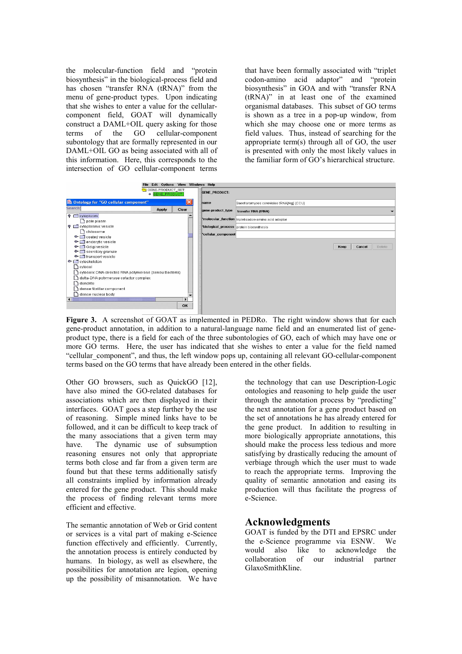the molecular-function field and "protein biosynthesis" in the biological-process field and has chosen "transfer RNA (tRNA)" from the menu of gene-product types. Upon indicating that she wishes to enter a value for the cellularcomponent field, GOAT will dynamically construct a DAML+OIL query asking for those terms of the GO cellular-component subontology that are formally represented in our DAML+OIL GO as being associated with all of this information. Here, this corresponds to the intersection of GO cellular-component terms

that have been formally associated with "triplet codon-amino acid adaptor" and "protein biosynthesis" in GOA and with "transfer RNA (tRNA)" in at least one of the examined organismal databases. This subset of GO terms is shown as a tree in a pop-up window, from which she may choose one or more terms as field values. Thus, instead of searching for the appropriate term(s) through all of GO, the user is presented with only the most likely values in the familiar form of GO's hierarchical structure.



**Figure 3.** A screenshot of GOAT as implemented in PEDRo. The right window shows that for each gene-product annotation, in addition to a natural-language name field and an enumerated list of geneproduct type, there is a field for each of the three subontologies of GO, each of which may have one or more GO terms. Here, the user has indicated that she wishes to enter a value for the field named "cellular\_component", and thus, the left window pops up, containing all relevant GO-cellular-component terms based on the GO terms that have already been entered in the other fields.

Other GO browsers, such as OuickGO [12], have also mined the GO-related databases for associations which are then displayed in their interfaces. GOAT goes a step further by the use of reasoning. Simple mined links have to be followed, and it can be difficult to keep track of the many associations that a given term may have. The dynamic use of subsumption reasoning ensures not only that appropriate terms both close and far from a given term are found but that these terms additionally satisfy all constraints implied by information already entered for the gene product. This should make the process of finding relevant terms more efficient and effective.

The semantic annotation of Web or Grid content or services is a vital part of making e-Science function effectively and efficiently. Currently, the annotation process is entirely conducted by humans. In biology, as well as elsewhere, the possibilities for annotation are legion, opening up the possibility of misannotation. We have the technology that can use Description-Logic ontologies and reasoning to help guide the user through the annotation process by "predicting" the next annotation for a gene product based on the set of annotations he has already entered for the gene product. In addition to resulting in more biologically appropriate annotations, this should make the process less tedious and more satisfying by drastically reducing the amount of verbiage through which the user must to wade to reach the appropriate terms. Improving the quality of semantic annotation and easing its production will thus facilitate the progress of e-Science.

### **Acknowledgments**

GOAT is funded by the DTI and EPSRC under the e-Science programme via ESNW. We would also like to acknowledge the collaboration of our industrial partner GlaxoSmithKline.